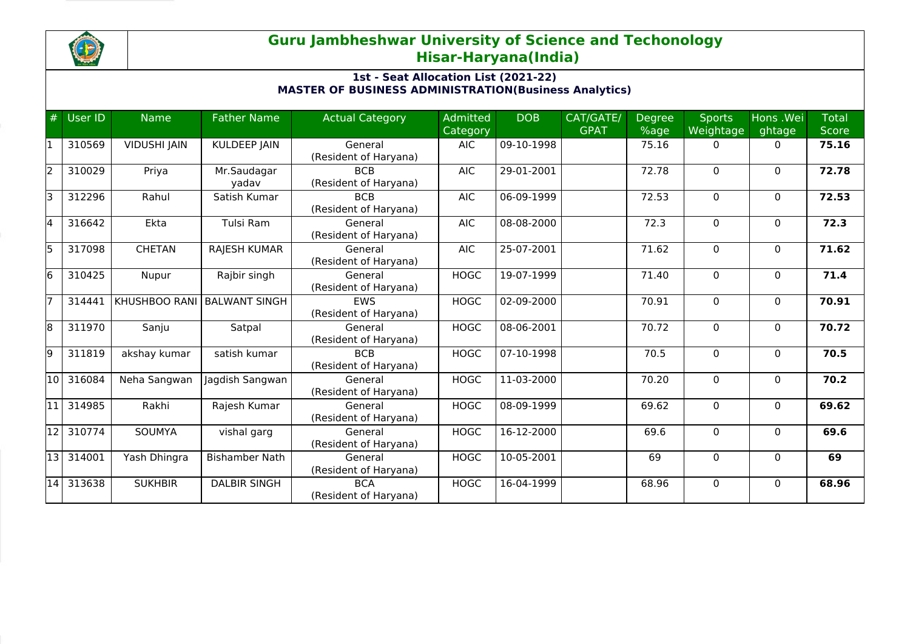

## **Guru Jambheshwar University of Science and Techonology Hisar-Haryana(India)**

## **1st - Seat Allocation List (2021-22) MASTER OF BUSINESS ADMINISTRATION(Business Analytics)**

| #     | User ID | <b>Name</b>         | <b>Father Name</b>    | <b>Actual Category</b>              | <b>Admitted</b><br>Category | <b>DOB</b>   | CAT/GATE/<br><b>GPAT</b> | Degree<br>%age | <b>Sports</b><br>Weightage | Hons .Wei<br>ghtage | <b>Total</b><br><b>Score</b> |
|-------|---------|---------------------|-----------------------|-------------------------------------|-----------------------------|--------------|--------------------------|----------------|----------------------------|---------------------|------------------------------|
|       | 310569  | <b>VIDUSHI JAIN</b> | <b>KULDEEP JAIN</b>   | General<br>(Resident of Haryana)    | <b>AIC</b>                  | 09-10-1998   |                          | 75.16          | 0                          | $\Omega$            | 75.16                        |
| l2    | 310029  | Priya               | Mr.Saudagar<br>yadav  | <b>BCB</b><br>(Resident of Haryana) | <b>AIC</b>                  | 29-01-2001   |                          | 72.78          | $\Omega$                   | $\mathbf{0}$        | 72.78                        |
| I٦    | 312296  | Rahul               | Satish Kumar          | <b>BCB</b><br>(Resident of Haryana) | <b>AIC</b>                  | 06-09-1999   |                          | 72.53          | 0                          | $\mathbf{0}$        | 72.53                        |
| 14    | 316642  | Ekta                | Tulsi Ram             | General<br>(Resident of Haryana)    | <b>AIC</b>                  | 08-08-2000   |                          | 72.3           | $\Omega$                   | $\mathbf{0}$        | 72.3                         |
| l5    | 317098  | <b>CHETAN</b>       | <b>RAJESH KUMAR</b>   | General<br>(Resident of Haryana)    | <b>AIC</b>                  | 25-07-2001   |                          | 71.62          | $\Omega$                   | $\mathbf{0}$        | 71.62                        |
| l6    | 310425  | Nupur               | Rajbir singh          | General<br>(Resident of Haryana)    | <b>HOGC</b>                 | 19-07-1999   |                          | 71.40          | 0                          | $\mathbf{0}$        | 71.4                         |
|       | 314441  | KHUSHBOO RANI       | <b>BALWANT SINGH</b>  | <b>EWS</b><br>(Resident of Haryana) | <b>HOGC</b>                 | 02-09-2000   |                          | 70.91          | $\Omega$                   | $\mathbf{0}$        | 70.91                        |
| l8    | 311970  | Sanju               | Satpal                | General<br>(Resident of Haryana)    | <b>HOGC</b>                 | 08-06-2001   |                          | 70.72          | 0                          | 0                   | 70.72                        |
| l9    | 311819  | akshay kumar        | satish kumar          | <b>BCB</b><br>(Resident of Haryana) | <b>HOGC</b>                 | 07-10-1998   |                          | 70.5           | $\Omega$                   | $\mathbf{0}$        | 70.5                         |
| l10 l | 316084  | Neha Sangwan        | Jagdish Sangwan       | General<br>(Resident of Haryana)    | <b>HOGC</b>                 | 11-03-2000   |                          | 70.20          | $\Omega$                   | $\mathbf{0}$        | 70.2                         |
| 11    | 314985  | Rakhi               | Rajesh Kumar          | General<br>(Resident of Haryana)    | <b>HOGC</b>                 | $08-09-1999$ |                          | 69.62          | $\Omega$                   | $\mathbf{0}$        | 69.62                        |
| 12    | 310774  | SOUMYA              | vishal garg           | General<br>(Resident of Haryana)    | <b>HOGC</b>                 | 16-12-2000   |                          | 69.6           | $\Omega$                   | $\Omega$            | 69.6                         |
| l13 l | 314001  | Yash Dhingra        | <b>Bishamber Nath</b> | General<br>(Resident of Haryana)    | <b>HOGC</b>                 | 10-05-2001   |                          | 69             | 0                          | $\mathbf{0}$        | 69                           |
| 14    | 313638  | <b>SUKHBIR</b>      | <b>DALBIR SINGH</b>   | <b>BCA</b><br>(Resident of Haryana) | <b>HOGC</b>                 | 16-04-1999   |                          | 68.96          | $\Omega$                   | $\Omega$            | 68.96                        |